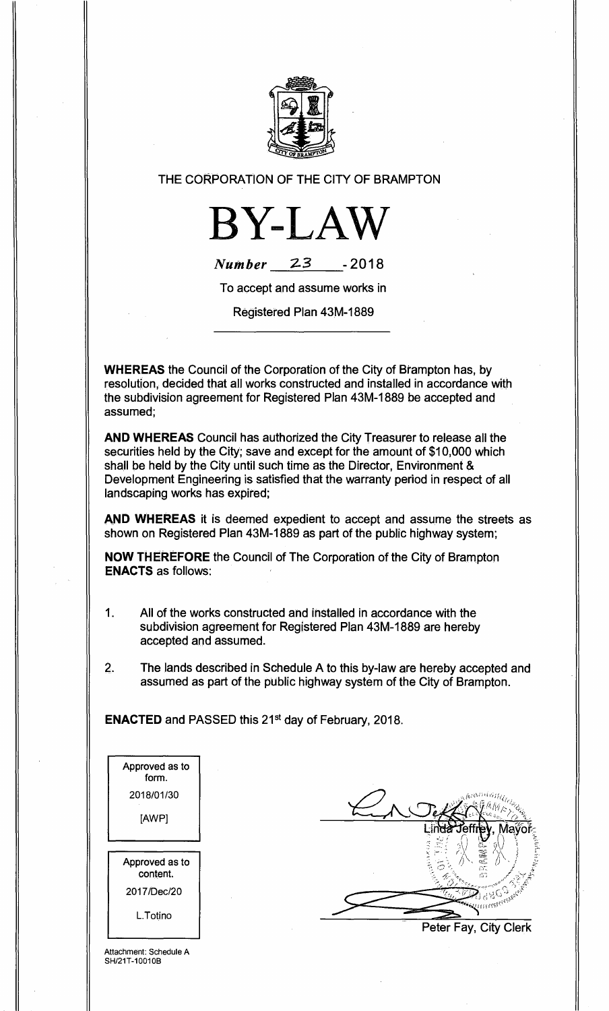

## THE CORPORATION OF THE CITY OF BRAMPTON



| <b>Number</b> | 23 | $-2018$ |
|---------------|----|---------|
|---------------|----|---------|

To accept and assume works in

Registered Plan 43M-1889

**WHEREAS** the Council of the Corporation of the City of Brampton has, by resolution, decided that all works constructed and installed in accordance with the subdivision agreement for Registered Plan 43M-1889 be accepted and assumed;

**AND WHEREAS** Council has authorized the City Treasurer to release all the securities held by the City; save and except for the amount of \$10,000 which shall be held by the City until such time as the Director, Environment & Development Engineering is satisfied that the warranty period in respect of all landscaping works has expired;

**AND WHEREAS** it is deemed expedient to accept and assume the streets as shown on Registered Plan 43M-1889 as part of the public highway system;

**NOW THEREFORE** the Council of The Corporation of the City of Brampton **ENACTS** as follows:

- 1. All of the works constructed and installed in accordance with the subdivision agreement for Registered Plan 43M-1889 are hereby accepted and assumed.
- 2. The lands described in Schedule A to this by-law are hereby accepted and assumed as part of the public highway system of the City of Brampton.

**ENACTED** and PASSED this 21st day of February, 2018.

| Approved as to<br>form.    |  |
|----------------------------|--|
| 2018/01/30                 |  |
| [AWP]                      |  |
|                            |  |
|                            |  |
| Approved as to<br>content. |  |
| 2017/Dec/20<br>L.Totino    |  |

Peter Fay, City Clerk

Attachment: Schedule A SH/21T-10010B